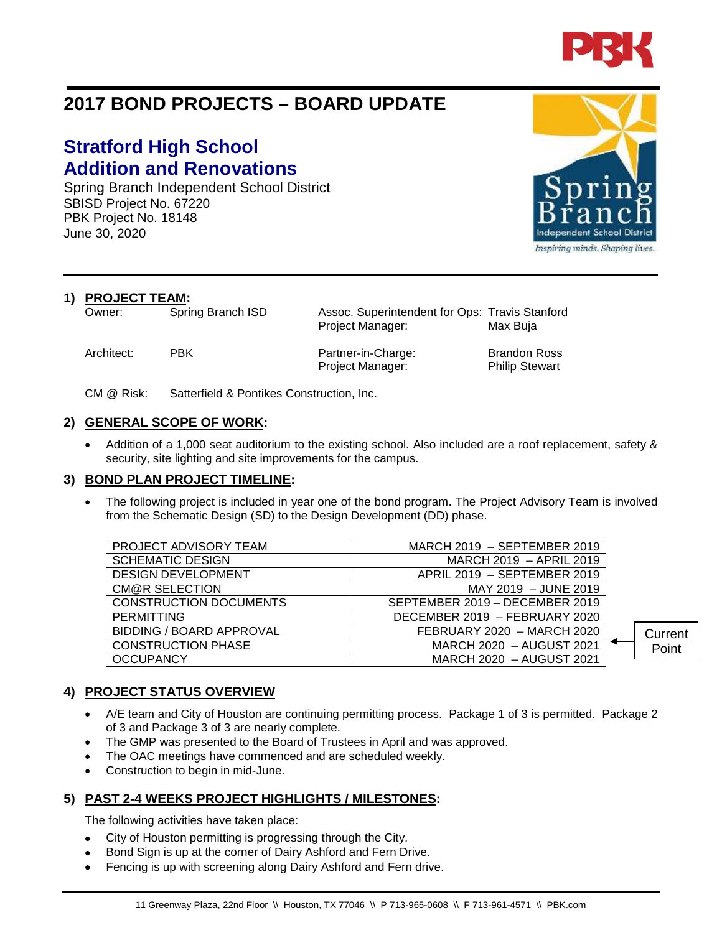

# **2017 BOND PROJECTS – BOARD UPDATE**

## **Stratford High School Addition and Renovations**

Spring Branch Independent School District SBISD Project No. 67220 PBK Project No. 18148 June 30, 2020

**1) PROJECT TEAM:**

Owner: Spring Branch ISD Assoc. Superintendent for Ops: Travis Stanford Project Manager: Max Buja

Architect: PBK Partner-in-Charge: Brandon Ross Project Manager: Philip Stewart

CM @ Risk: Satterfield & Pontikes Construction, Inc.

#### **2) GENERAL SCOPE OF WORK:**

• Addition of a 1,000 seat auditorium to the existing school. Also included are a roof replacement, safety & security, site lighting and site improvements for the campus.

#### **3) BOND PLAN PROJECT TIMELINE:**

The following project is included in year one of the bond program. The Project Advisory Team is involved from the Schematic Design (SD) to the Design Development (DD) phase.

| PROJECT ADVISORY TEAM         | MARCH 2019 - SEPTEMBER 2019    |         |
|-------------------------------|--------------------------------|---------|
| <b>SCHEMATIC DESIGN</b>       | MARCH 2019 - APRIL 2019        |         |
| <b>DESIGN DEVELOPMENT</b>     | APRIL 2019 - SEPTEMBER 2019    |         |
| <b>CM@R SELECTION</b>         | MAY 2019 - JUNE 2019           |         |
| <b>CONSTRUCTION DOCUMENTS</b> | SEPTEMBER 2019 - DECEMBER 2019 |         |
| <b>PERMITTING</b>             | DECEMBER 2019 - FEBRUARY 2020  |         |
| BIDDING / BOARD APPROVAL      | FEBRUARY 2020 - MARCH 2020     | Current |
| <b>CONSTRUCTION PHASE</b>     | MARCH 2020 - AUGUST 2021       | Point   |
| <b>OCCUPANCY</b>              | MARCH 2020 - AUGUST 2021       |         |

#### **4) PROJECT STATUS OVERVIEW**

- A/E team and City of Houston are continuing permitting process. Package 1 of 3 is permitted. Package 2 of 3 and Package 3 of 3 are nearly complete.
- The GMP was presented to the Board of Trustees in April and was approved.
- The OAC meetings have commenced and are scheduled weekly.
- Construction to begin in mid-June.

#### **5) PAST 2-4 WEEKS PROJECT HIGHLIGHTS / MILESTONES:**

The following activities have taken place:

- City of Houston permitting is progressing through the City.
- Bond Sign is up at the corner of Dairy Ashford and Fern Drive.
- Fencing is up with screening along Dairy Ashford and Fern drive.



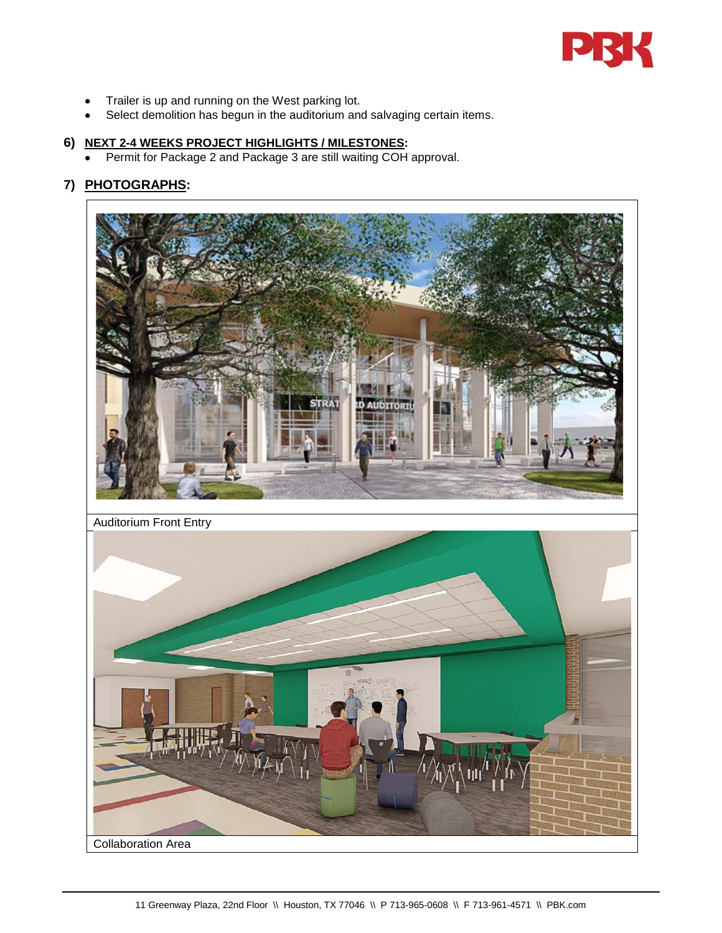

- Trailer is up and running on the West parking lot.
- Select demolition has begun in the auditorium and salvaging certain items.

### **6) NEXT 2-4 WEEKS PROJECT HIGHLIGHTS / MILESTONES:**

• Permit for Package 2 and Package 3 are still waiting COH approval.

## **7) PHOTOGRAPHS:**

Collaboration Area